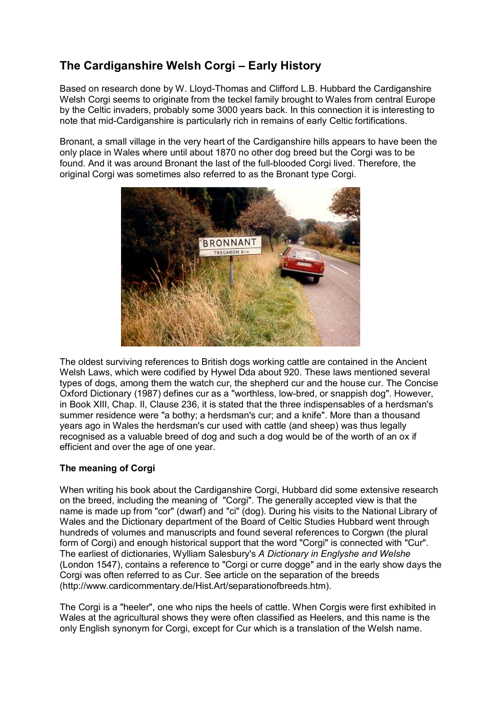# **The Cardiganshire Welsh Corgi – Early History**

Based on research done by W. Lloyd-Thomas and Clifford L.B. Hubbard the Cardiganshire Welsh Corgi seems to originate from the teckel family brought to Wales from central Europe by the Celtic invaders, probably some 3000 years back. In this connection it is interesting to note that mid-Cardiganshire is particularly rich in remains of early Celtic fortifications.

Bronant, a small village in the very heart of the Cardiganshire hills appears to have been the only place in Wales where until about 1870 no other dog breed but the Corgi was to be found. And it was around Bronant the last of the full-blooded Corgi lived. Therefore, the original Corgi was sometimes also referred to as the Bronant type Corgi.



The oldest surviving references to British dogs working cattle are contained in the Ancient Welsh Laws, which were codified by Hywel Dda about 920. These laws mentioned several types of dogs, among them the watch cur, the shepherd cur and the house cur. The Concise Oxford Dictionary (1987) defines cur as a "worthless, low-bred, or snappish dog". However, in Book XIII, Chap. II, Clause 236, it is stated that the three indispensables of a herdsman's summer residence were "a bothy; a herdsman's cur; and a knife". More than a thousand years ago in Wales the herdsman's cur used with cattle (and sheep) was thus legally recognised as a valuable breed of dog and such a dog would be of the worth of an ox if efficient and over the age of one year.

## **The meaning of Corgi**

When writing his book about the Cardiganshire Corgi, Hubbard did some extensive research on the breed, including the meaning of "Corgi". The generally accepted view is that the name is made up from "cor" (dwarf) and "ci" (dog). During his visits to the National Library of Wales and the Dictionary department of the Board of Celtic Studies Hubbard went through hundreds of volumes and manuscripts and found several references to Corgwn (the plural form of Corgi) and enough historical support that the word "Corgi" is connected with "Cur". The earliest of dictionaries, Wylliam Salesbury's *A Dictionary in Englyshe and Welshe* (London 1547), contains a reference to "Corgi or curre dogge" and in the early show days the Corgi was often referred to as Cur. See article on the separation of the breeds (http://www.cardicommentary.de/Hist.Art/separationofbreeds.htm).

The Corgi is a "heeler", one who nips the heels of cattle. When Corgis were first exhibited in Wales at the agricultural shows they were often classified as Heelers, and this name is the only English synonym for Corgi, except for Cur which is a translation of the Welsh name.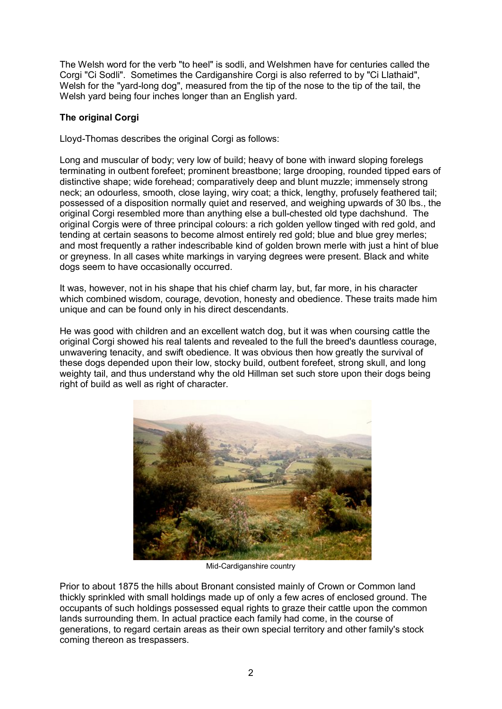The Welsh word for the verb "to heel" is sodli, and Welshmen have for centuries called the Corgi "Ci Sodli". Sometimes the Cardiganshire Corgi is also referred to by "Ci Llathaid", Welsh for the "yard-long dog", measured from the tip of the nose to the tip of the tail, the Welsh yard being four inches longer than an English yard.

# **The original Corgi**

Lloyd-Thomas describes the original Corgi as follows:

Long and muscular of body; very low of build; heavy of bone with inward sloping forelegs terminating in outbent forefeet; prominent breastbone; large drooping, rounded tipped ears of distinctive shape; wide forehead; comparatively deep and blunt muzzle; immensely strong neck; an odourless, smooth, close laying, wiry coat; a thick, lengthy, profusely feathered tail; possessed of a disposition normally quiet and reserved, and weighing upwards of 30 lbs., the original Corgi resembled more than anything else a bull-chested old type dachshund. The original Corgis were of three principal colours: a rich golden yellow tinged with red gold, and tending at certain seasons to become almost entirely red gold; blue and blue grey merles; and most frequently a rather indescribable kind of golden brown merle with just a hint of blue or greyness. In all cases white markings in varying degrees were present. Black and white dogs seem to have occasionally occurred.

It was, however, not in his shape that his chief charm lay, but, far more, in his character which combined wisdom, courage, devotion, honesty and obedience. These traits made him unique and can be found only in his direct descendants.

He was good with children and an excellent watch dog, but it was when coursing cattle the original Corgi showed his real talents and revealed to the full the breed's dauntless courage, unwavering tenacity, and swift obedience. It was obvious then how greatly the survival of these dogs depended upon their low, stocky build, outbent forefeet, strong skull, and long weighty tail, and thus understand why the old Hillman set such store upon their dogs being right of build as well as right of character.



Mid-Cardiganshire country

Prior to about 1875 the hills about Bronant consisted mainly of Crown or Common land thickly sprinkled with small holdings made up of only a few acres of enclosed ground. The occupants of such holdings possessed equal rights to graze their cattle upon the common lands surrounding them. In actual practice each family had come, in the course of generations, to regard certain areas as their own special territory and other family's stock coming thereon as trespassers.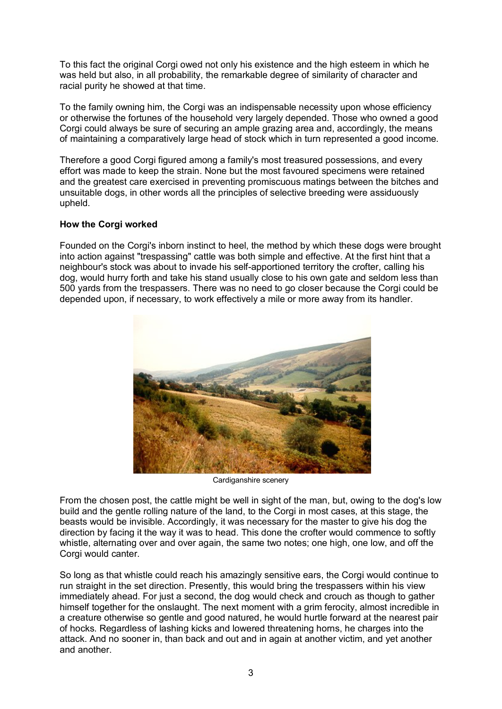To this fact the original Corgi owed not only his existence and the high esteem in which he was held but also, in all probability, the remarkable degree of similarity of character and racial purity he showed at that time.

To the family owning him, the Corgi was an indispensable necessity upon whose efficiency or otherwise the fortunes of the household very largely depended. Those who owned a good Corgi could always be sure of securing an ample grazing area and, accordingly, the means of maintaining a comparatively large head of stock which in turn represented a good income.

Therefore a good Corgi figured among a family's most treasured possessions, and every effort was made to keep the strain. None but the most favoured specimens were retained and the greatest care exercised in preventing promiscuous matings between the bitches and unsuitable dogs, in other words all the principles of selective breeding were assiduously upheld.

### **How the Corgi worked**

Founded on the Corgi's inborn instinct to heel, the method by which these dogs were brought into action against "trespassing" cattle was both simple and effective. At the first hint that a neighbour's stock was about to invade his self-apportioned territory the crofter, calling his dog, would hurry forth and take his stand usually close to his own gate and seldom less than 500 yards from the trespassers. There was no need to go closer because the Corgi could be depended upon, if necessary, to work effectively a mile or more away from its handler.



Cardiganshire scenery

From the chosen post, the cattle might be well in sight of the man, but, owing to the dog's low build and the gentle rolling nature of the land, to the Corgi in most cases, at this stage, the beasts would be invisible. Accordingly, it was necessary for the master to give his dog the direction by facing it the way it was to head. This done the crofter would commence to softly whistle, alternating over and over again, the same two notes; one high, one low, and off the Corgi would canter.

So long as that whistle could reach his amazingly sensitive ears, the Corgi would continue to run straight in the set direction. Presently, this would bring the trespassers within his view immediately ahead. For just a second, the dog would check and crouch as though to gather himself together for the onslaught. The next moment with a grim ferocity, almost incredible in a creature otherwise so gentle and good natured, he would hurtle forward at the nearest pair of hocks. Regardless of lashing kicks and lowered threatening horns, he charges into the attack. And no sooner in, than back and out and in again at another victim, and yet another and another.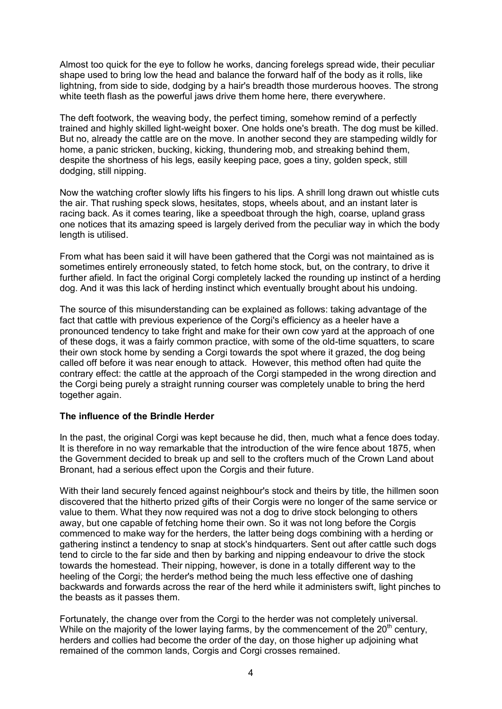Almost too quick for the eye to follow he works, dancing forelegs spread wide, their peculiar shape used to bring low the head and balance the forward half of the body as it rolls, like lightning, from side to side, dodging by a hair's breadth those murderous hooves. The strong white teeth flash as the powerful jaws drive them home here, there everywhere.

The deft footwork, the weaving body, the perfect timing, somehow remind of a perfectly trained and highly skilled light-weight boxer. One holds one's breath. The dog must be killed. But no, already the cattle are on the move. In another second they are stampeding wildly for home, a panic stricken, bucking, kicking, thundering mob, and streaking behind them, despite the shortness of his legs, easily keeping pace, goes a tiny, golden speck, still dodging, still nipping.

Now the watching crofter slowly lifts his fingers to his lips. A shrill long drawn out whistle cuts the air. That rushing speck slows, hesitates, stops, wheels about, and an instant later is racing back. As it comes tearing, like a speedboat through the high, coarse, upland grass one notices that its amazing speed is largely derived from the peculiar way in which the body length is utilised.

From what has been said it will have been gathered that the Corgi was not maintained as is sometimes entirely erroneously stated, to fetch home stock, but, on the contrary, to drive it further afield. In fact the original Corgi completely lacked the rounding up instinct of a herding dog. And it was this lack of herding instinct which eventually brought about his undoing.

The source of this misunderstanding can be explained as follows: taking advantage of the fact that cattle with previous experience of the Corgi's efficiency as a heeler have a pronounced tendency to take fright and make for their own cow yard at the approach of one of these dogs, it was a fairly common practice, with some of the old-time squatters, to scare their own stock home by sending a Corgi towards the spot where it grazed, the dog being called off before it was near enough to attack. However, this method often had quite the contrary effect: the cattle at the approach of the Corgi stampeded in the wrong direction and the Corgi being purely a straight running courser was completely unable to bring the herd together again.

### **The influence of the Brindle Herder**

In the past, the original Corgi was kept because he did, then, much what a fence does today. It is therefore in no way remarkable that the introduction of the wire fence about 1875, when the Government decided to break up and sell to the crofters much of the Crown Land about Bronant, had a serious effect upon the Corgis and their future.

With their land securely fenced against neighbour's stock and theirs by title, the hillmen soon discovered that the hitherto prized gifts of their Corgis were no longer of the same service or value to them. What they now required was not a dog to drive stock belonging to others away, but one capable of fetching home their own. So it was not long before the Corgis commenced to make way for the herders, the latter being dogs combining with a herding or gathering instinct a tendency to snap at stock's hindquarters. Sent out after cattle such dogs tend to circle to the far side and then by barking and nipping endeavour to drive the stock towards the homestead. Their nipping, however, is done in a totally different way to the heeling of the Corgi; the herder's method being the much less effective one of dashing backwards and forwards across the rear of the herd while it administers swift, light pinches to the beasts as it passes them.

Fortunately, the change over from the Corgi to the herder was not completely universal. While on the majority of the lower laying farms, by the commencement of the  $20<sup>th</sup>$  century, herders and collies had become the order of the day, on those higher up adjoining what remained of the common lands, Corgis and Corgi crosses remained.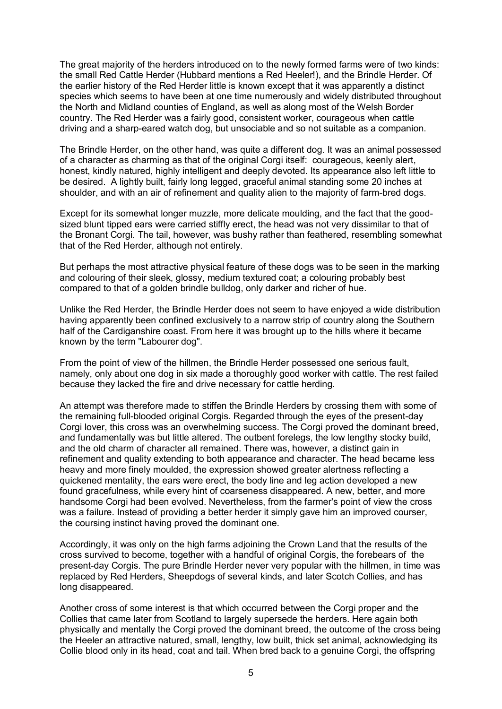The great majority of the herders introduced on to the newly formed farms were of two kinds: the small Red Cattle Herder (Hubbard mentions a Red Heeler!), and the Brindle Herder. Of the earlier history of the Red Herder little is known except that it was apparently a distinct species which seems to have been at one time numerously and widely distributed throughout the North and Midland counties of England, as well as along most of the Welsh Border country. The Red Herder was a fairly good, consistent worker, courageous when cattle driving and a sharp-eared watch dog, but unsociable and so not suitable as a companion.

The Brindle Herder, on the other hand, was quite a different dog. It was an animal possessed of a character as charming as that of the original Corgi itself: courageous, keenly alert, honest, kindly natured, highly intelligent and deeply devoted. Its appearance also left little to be desired. A lightly built, fairly long legged, graceful animal standing some 20 inches at shoulder, and with an air of refinement and quality alien to the majority of farm-bred dogs.

Except for its somewhat longer muzzle, more delicate moulding, and the fact that the goodsized blunt tipped ears were carried stiffly erect, the head was not very dissimilar to that of the Bronant Corgi. The tail, however, was bushy rather than feathered, resembling somewhat that of the Red Herder, although not entirely.

But perhaps the most attractive physical feature of these dogs was to be seen in the marking and colouring of their sleek, glossy, medium textured coat; a colouring probably best compared to that of a golden brindle bulldog, only darker and richer of hue.

Unlike the Red Herder, the Brindle Herder does not seem to have enjoyed a wide distribution having apparently been confined exclusively to a narrow strip of country along the Southern half of the Cardiganshire coast. From here it was brought up to the hills where it became known by the term "Labourer dog".

From the point of view of the hillmen, the Brindle Herder possessed one serious fault, namely, only about one dog in six made a thoroughly good worker with cattle. The rest failed because they lacked the fire and drive necessary for cattle herding.

An attempt was therefore made to stiffen the Brindle Herders by crossing them with some of the remaining full-blooded original Corgis. Regarded through the eyes of the present-day Corgi lover, this cross was an overwhelming success. The Corgi proved the dominant breed, and fundamentally was but little altered. The outbent forelegs, the low lengthy stocky build, and the old charm of character all remained. There was, however, a distinct gain in refinement and quality extending to both appearance and character. The head became less heavy and more finely moulded, the expression showed greater alertness reflecting a quickened mentality, the ears were erect, the body line and leg action developed a new found gracefulness, while every hint of coarseness disappeared. A new, better, and more handsome Corgi had been evolved. Nevertheless, from the farmer's point of view the cross was a failure. Instead of providing a better herder it simply gave him an improved courser, the coursing instinct having proved the dominant one.

Accordingly, it was only on the high farms adjoining the Crown Land that the results of the cross survived to become, together with a handful of original Corgis, the forebears of the present-day Corgis. The pure Brindle Herder never very popular with the hillmen, in time was replaced by Red Herders, Sheepdogs of several kinds, and later Scotch Collies, and has long disappeared.

Another cross of some interest is that which occurred between the Corgi proper and the Collies that came later from Scotland to largely supersede the herders. Here again both physically and mentally the Corgi proved the dominant breed, the outcome of the cross being the Heeler an attractive natured, small, lengthy, low built, thick set animal, acknowledging its Collie blood only in its head, coat and tail. When bred back to a genuine Corgi, the offspring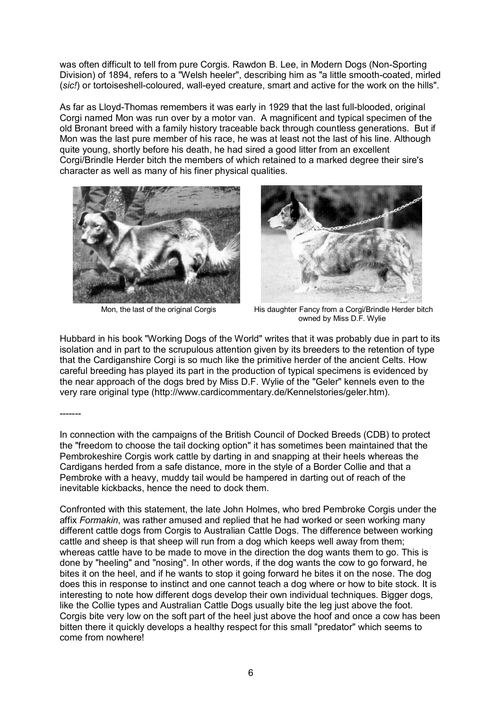was often difficult to tell from pure Corgis. Rawdon B. Lee, in Modern Dogs (Non-Sporting Division) of 1894, refers to a "Welsh heeler", describing him as "a little smooth-coated, mirled (*sic!*) or tortoiseshell-coloured, wall-eyed creature, smart and active for the work on the hills".

As far as Lloyd-Thomas remembers it was early in 1929 that the last full-blooded, original Corgi named Mon was run over by a motor van. A magnificent and typical specimen of the old Bronant breed with a family history traceable back through countless generations. But if Mon was the last pure member of his race, he was at least not the last of his line. Although quite young, shortly before his death, he had sired a good litter from an excellent Corgi/Brindle Herder bitch the members of which retained to a marked degree their sire's character as well as many of his finer physical qualities.





Mon, the last of the original Corgis His daughter Fancy from a Corgi/Brindle Herder bitch owned by Miss D.F. Wylie

Hubbard in his book "Working Dogs of the World" writes that it was probably due in part to its isolation and in part to the scrupulous attention given by its breeders to the retention of type that the Cardiganshire Corgi is so much like the primitive herder of the ancient Celts. How careful breeding has played its part in the production of typical specimens is evidenced by the near approach of the dogs bred by Miss D.F. Wylie of the "Geler" kennels even to the very rare original type (http://www.cardicommentary.de/Kennelstories/geler.htm).

#### -------

In connection with the campaigns of the British Council of Docked Breeds (CDB) to protect the "freedom to choose the tail docking option" it has sometimes been maintained that the Pembrokeshire Corgis work cattle by darting in and snapping at their heels whereas the Cardigans herded from a safe distance, more in the style of a Border Collie and that a Pembroke with a heavy, muddy tail would be hampered in darting out of reach of the inevitable kickbacks, hence the need to dock them.

Confronted with this statement, the late John Holmes, who bred Pembroke Corgis under the affix *Formakin*, was rather amused and replied that he had worked or seen working many different cattle dogs from Corgis to Australian Cattle Dogs. The difference between working cattle and sheep is that sheep will run from a dog which keeps well away from them; whereas cattle have to be made to move in the direction the dog wants them to go. This is done by "heeling" and "nosing". In other words, if the dog wants the cow to go forward, he bites it on the heel, and if he wants to stop it going forward he bites it on the nose. The dog does this in response to instinct and one cannot teach a dog where or how to bite stock. It is interesting to note how different dogs develop their own individual techniques. Bigger dogs, like the Collie types and Australian Cattle Dogs usually bite the leg just above the foot. Corgis bite very low on the soft part of the heel just above the hoof and once a cow has been bitten there it quickly develops a healthy respect for this small "predator" which seems to come from nowhere!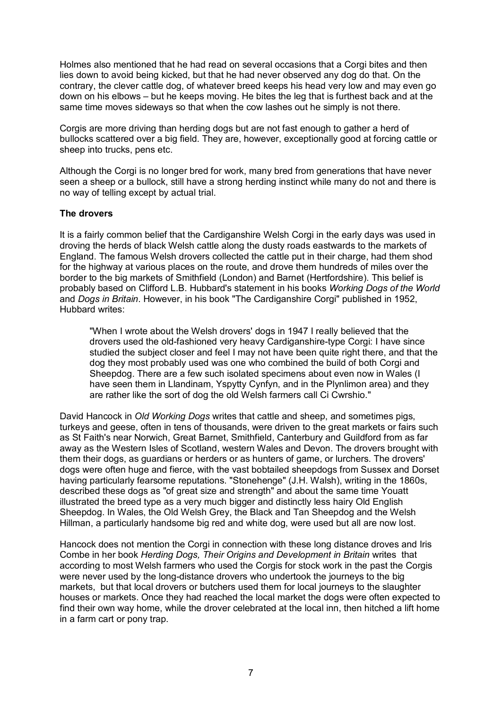Holmes also mentioned that he had read on several occasions that a Corgi bites and then lies down to avoid being kicked, but that he had never observed any dog do that. On the contrary, the clever cattle dog, of whatever breed keeps his head very low and may even go down on his elbows – but he keeps moving. He bites the leg that is furthest back and at the same time moves sideways so that when the cow lashes out he simply is not there.

Corgis are more driving than herding dogs but are not fast enough to gather a herd of bullocks scattered over a big field. They are, however, exceptionally good at forcing cattle or sheep into trucks, pens etc.

Although the Corgi is no longer bred for work, many bred from generations that have never seen a sheep or a bullock, still have a strong herding instinct while many do not and there is no way of telling except by actual trial.

### **The drovers**

It is a fairly common belief that the Cardiganshire Welsh Corgi in the early days was used in droving the herds of black Welsh cattle along the dusty roads eastwards to the markets of England. The famous Welsh drovers collected the cattle put in their charge, had them shod for the highway at various places on the route, and drove them hundreds of miles over the border to the big markets of Smithfield (London) and Barnet (Hertfordshire). This belief is probably based on Clifford L.B. Hubbard's statement in his books *Working Dogs of the World* and *Dogs in Britain*. However, in his book "The Cardiganshire Corgi" published in 1952, Hubbard writes:

"When I wrote about the Welsh drovers' dogs in 1947 I really believed that the drovers used the old-fashioned very heavy Cardiganshire-type Corgi: I have since studied the subject closer and feel I may not have been quite right there, and that the dog they most probably used was one who combined the build of both Corgi and Sheepdog. There are a few such isolated specimens about even now in Wales (I have seen them in Llandinam, Yspytty Cynfyn, and in the Plynlimon area) and they are rather like the sort of dog the old Welsh farmers call Ci Cwrshio."

David Hancock in *Old Working Dogs* writes that cattle and sheep, and sometimes pigs, turkeys and geese, often in tens of thousands, were driven to the great markets or fairs such as St Faith's near Norwich, Great Barnet, Smithfield, Canterbury and Guildford from as far away as the Western Isles of Scotland, western Wales and Devon. The drovers brought with them their dogs, as guardians or herders or as hunters of game, or lurchers. The drovers' dogs were often huge and fierce, with the vast bobtailed sheepdogs from Sussex and Dorset having particularly fearsome reputations. "Stonehenge" (J.H. Walsh), writing in the 1860s, described these dogs as "of great size and strength" and about the same time Youatt illustrated the breed type as a very much bigger and distinctly less hairy Old English Sheepdog. In Wales, the Old Welsh Grey, the Black and Tan Sheepdog and the Welsh Hillman, a particularly handsome big red and white dog, were used but all are now lost.

Hancock does not mention the Corgi in connection with these long distance droves and Iris Combe in her book *Herding Dogs, Their Origins and Development in Britain* writes that according to most Welsh farmers who used the Corgis for stock work in the past the Corgis were never used by the long-distance drovers who undertook the journeys to the big markets, but that local drovers or butchers used them for local journeys to the slaughter houses or markets. Once they had reached the local market the dogs were often expected to find their own way home, while the drover celebrated at the local inn, then hitched a lift home in a farm cart or pony trap.